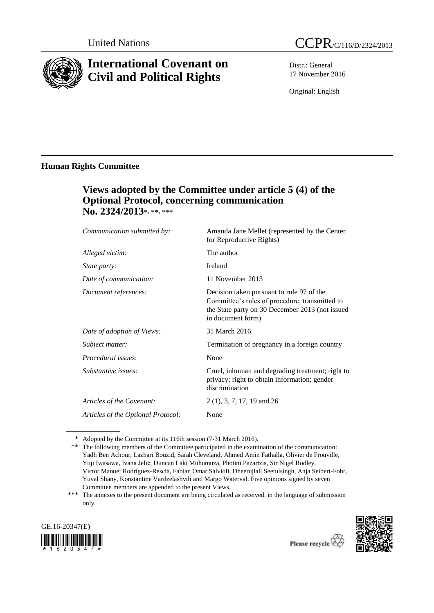

# **International Covenant on Civil and Political Rights**

Distr.: General 17 November 2016

Original: English

# **Human Rights Committee**

# **Views adopted by the Committee under article 5 (4) of the Optional Protocol, concerning communication No. 2324/2013**\*, \*\*, \*\*\*

| Communication submitted by:        | Amanda Jane Mellet (represented by the Center<br>for Reproductive Rights)                                                                                           |
|------------------------------------|---------------------------------------------------------------------------------------------------------------------------------------------------------------------|
| Alleged victim:                    | The author                                                                                                                                                          |
| <i>State party:</i>                | Ireland                                                                                                                                                             |
| Date of communication:             | 11 November 2013                                                                                                                                                    |
| Document references:               | Decision taken pursuant to rule 97 of the<br>Committee's rules of procedure, transmitted to<br>the State party on 30 December 2013 (not issued<br>in document form) |
| Date of adoption of Views:         | 31 March 2016                                                                                                                                                       |
| Subject matter:                    | Termination of pregnancy in a foreign country                                                                                                                       |
| Procedural issues:                 | None                                                                                                                                                                |
| Substantive issues:                | Cruel, inhuman and degrading treatment; right to<br>privacy; right to obtain information; gender<br>discrimination                                                  |
| Articles of the Covenant:          | $2(1), 3, 7, 17, 19$ and $26$                                                                                                                                       |
| Articles of the Optional Protocol: | None                                                                                                                                                                |
|                                    |                                                                                                                                                                     |

<sup>\*</sup> Adopted by the Committee at its 116th session (7-31 March 2016).

<sup>\*\*\*</sup> The annexes to the present document are being circulated as received, in the language of submission only.





<sup>\*\*</sup> The following members of the Committee participated in the examination of the communication: Yadh Ben Achour, Lazhari Bouzid, Sarah Cleveland, Ahmed Amin Fathalla, Olivier de Frouville, Yuji Iwasawa, Ivana Jelić, Duncan Laki Muhumuza, Photini Pazartzis, Sir Nigel Rodley, Víctor Manuel Rodríguez-Rescia, Fabián Omar Salvioli, Dheerujlall Seetulsingh, Anja Seibert-Fohr, Yuval Shany, Konstantine Vardzelashvili and Margo Waterval. Five opinions signed by seven Committee members are appended to the present Views.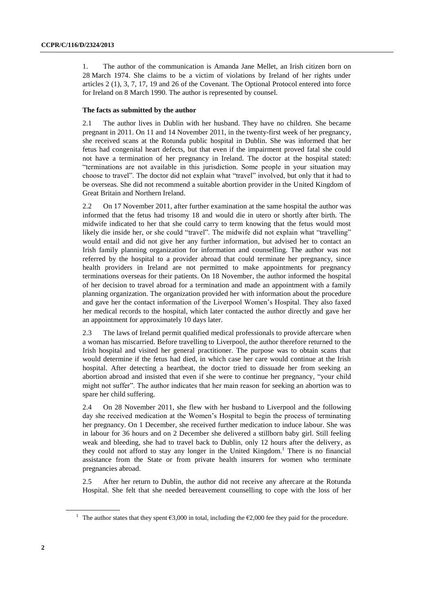1. The author of the communication is Amanda Jane Mellet, an Irish citizen born on 28 March 1974. She claims to be a victim of violations by Ireland of her rights under articles 2 (1), 3, 7, 17, 19 and 26 of the Covenant. The Optional Protocol entered into force for Ireland on 8 March 1990. The author is represented by counsel.

#### **The facts as submitted by the author**

2.1 The author lives in Dublin with her husband. They have no children. She became pregnant in 2011. On 11 and 14 November 2011, in the twenty-first week of her pregnancy, she received scans at the Rotunda public hospital in Dublin. She was informed that her fetus had congenital heart defects, but that even if the impairment proved fatal she could not have a termination of her pregnancy in Ireland. The doctor at the hospital stated: "terminations are not available in this jurisdiction. Some people in your situation may choose to travel". The doctor did not explain what "travel" involved, but only that it had to be overseas. She did not recommend a suitable abortion provider in the United Kingdom of Great Britain and Northern Ireland.

2.2 On 17 November 2011, after further examination at the same hospital the author was informed that the fetus had trisomy 18 and would die in utero or shortly after birth. The midwife indicated to her that she could carry to term knowing that the fetus would most likely die inside her, or she could "travel". The midwife did not explain what "travelling" would entail and did not give her any further information, but advised her to contact an Irish family planning organization for information and counselling. The author was not referred by the hospital to a provider abroad that could terminate her pregnancy, since health providers in Ireland are not permitted to make appointments for pregnancy terminations overseas for their patients. On 18 November, the author informed the hospital of her decision to travel abroad for a termination and made an appointment with a family planning organization. The organization provided her with information about the procedure and gave her the contact information of the Liverpool Women's Hospital. They also faxed her medical records to the hospital, which later contacted the author directly and gave her an appointment for approximately 10 days later.

2.3 The laws of Ireland permit qualified medical professionals to provide aftercare when a woman has miscarried. Before travelling to Liverpool, the author therefore returned to the Irish hospital and visited her general practitioner. The purpose was to obtain scans that would determine if the fetus had died, in which case her care would continue at the Irish hospital. After detecting a heartbeat, the doctor tried to dissuade her from seeking an abortion abroad and insisted that even if she were to continue her pregnancy, "your child might not suffer". The author indicates that her main reason for seeking an abortion was to spare her child suffering.

2.4 On 28 November 2011, she flew with her husband to Liverpool and the following day she received medication at the Women's Hospital to begin the process of terminating her pregnancy. On 1 December, she received further medication to induce labour. She was in labour for 36 hours and on 2 December she delivered a stillborn baby girl. Still feeling weak and bleeding, she had to travel back to Dublin, only 12 hours after the delivery, as they could not afford to stay any longer in the United Kingdom. <sup>1</sup> There is no financial assistance from the State or from private health insurers for women who terminate pregnancies abroad.

2.5 After her return to Dublin, the author did not receive any aftercare at the Rotunda Hospital. She felt that she needed bereavement counselling to cope with the loss of her

<sup>&</sup>lt;sup>1</sup> The author states that they spent  $\epsilon$ 3,000 in total, including the  $\epsilon$ 2,000 fee they paid for the procedure.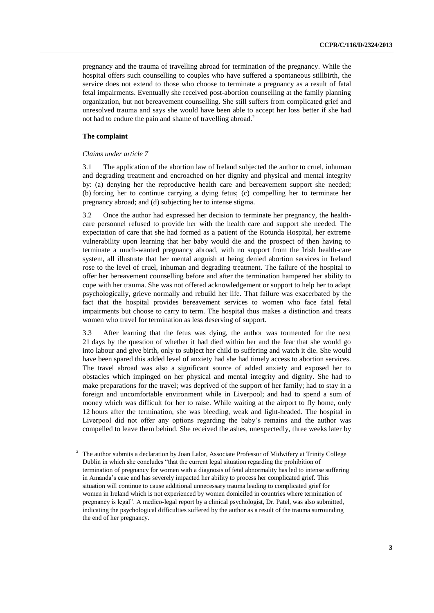pregnancy and the trauma of travelling abroad for termination of the pregnancy. While the hospital offers such counselling to couples who have suffered a spontaneous stillbirth, the service does not extend to those who choose to terminate a pregnancy as a result of fatal fetal impairments. Eventually she received post-abortion counselling at the family planning organization, but not bereavement counselling. She still suffers from complicated grief and unresolved trauma and says she would have been able to accept her loss better if she had not had to endure the pain and shame of travelling abroad.<sup>2</sup>

#### **The complaint**

#### *Claims under article 7*

3.1 The application of the abortion law of Ireland subjected the author to cruel, inhuman and degrading treatment and encroached on her dignity and physical and mental integrity by: (a) denying her the reproductive health care and bereavement support she needed; (b) forcing her to continue carrying a dying fetus; (c) compelling her to terminate her pregnancy abroad; and (d) subjecting her to intense stigma.

3.2 Once the author had expressed her decision to terminate her pregnancy, the healthcare personnel refused to provide her with the health care and support she needed. The expectation of care that she had formed as a patient of the Rotunda Hospital, her extreme vulnerability upon learning that her baby would die and the prospect of then having to terminate a much-wanted pregnancy abroad, with no support from the Irish health-care system, all illustrate that her mental anguish at being denied abortion services in Ireland rose to the level of cruel, inhuman and degrading treatment. The failure of the hospital to offer her bereavement counselling before and after the termination hampered her ability to cope with her trauma. She was not offered acknowledgement or support to help her to adapt psychologically, grieve normally and rebuild her life. That failure was exacerbated by the fact that the hospital provides bereavement services to women who face fatal fetal impairments but choose to carry to term. The hospital thus makes a distinction and treats women who travel for termination as less deserving of support.

3.3 After learning that the fetus was dying, the author was tormented for the next 21 days by the question of whether it had died within her and the fear that she would go into labour and give birth, only to subject her child to suffering and watch it die. She would have been spared this added level of anxiety had she had timely access to abortion services. The travel abroad was also a significant source of added anxiety and exposed her to obstacles which impinged on her physical and mental integrity and dignity. She had to make preparations for the travel; was deprived of the support of her family; had to stay in a foreign and uncomfortable environment while in Liverpool; and had to spend a sum of money which was difficult for her to raise. While waiting at the airport to fly home, only 12 hours after the termination, she was bleeding, weak and light-headed. The hospital in Liverpool did not offer any options regarding the baby's remains and the author was compelled to leave them behind. She received the ashes, unexpectedly, three weeks later by

<sup>&</sup>lt;sup>2</sup> The author submits a declaration by Joan Lalor, Associate Professor of Midwifery at Trinity College Dublin in which she concludes "that the current legal situation regarding the prohibition of termination of pregnancy for women with a diagnosis of fetal abnormality has led to intense suffering in Amanda's case and has severely impacted her ability to process her complicated grief. This situation will continue to cause additional unnecessary trauma leading to complicated grief for women in Ireland which is not experienced by women domiciled in countries where termination of pregnancy is legal". A medico-legal report by a clinical psychologist, Dr. Patel, was also submitted, indicating the psychological difficulties suffered by the author as a result of the trauma surrounding the end of her pregnancy.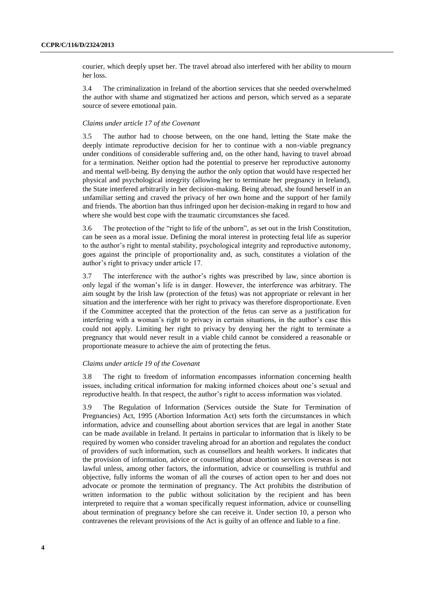courier, which deeply upset her. The travel abroad also interfered with her ability to mourn her loss.

3.4 The criminalization in Ireland of the abortion services that she needed overwhelmed the author with shame and stigmatized her actions and person, which served as a separate source of severe emotional pain.

#### *Claims under article 17 of the Covenant*

3.5 The author had to choose between, on the one hand, letting the State make the deeply intimate reproductive decision for her to continue with a non-viable pregnancy under conditions of considerable suffering and, on the other hand, having to travel abroad for a termination. Neither option had the potential to preserve her reproductive autonomy and mental well-being. By denying the author the only option that would have respected her physical and psychological integrity (allowing her to terminate her pregnancy in Ireland), the State interfered arbitrarily in her decision-making. Being abroad, she found herself in an unfamiliar setting and craved the privacy of her own home and the support of her family and friends. The abortion ban thus infringed upon her decision-making in regard to how and where she would best cope with the traumatic circumstances she faced.

3.6 The protection of the "right to life of the unborn", as set out in the Irish Constitution, can be seen as a moral issue. Defining the moral interest in protecting fetal life as superior to the author's right to mental stability, psychological integrity and reproductive autonomy, goes against the principle of proportionality and, as such, constitutes a violation of the author's right to privacy under article 17.

3.7 The interference with the author's rights was prescribed by law, since abortion is only legal if the woman's life is in danger. However, the interference was arbitrary. The aim sought by the Irish law (protection of the fetus) was not appropriate or relevant in her situation and the interference with her right to privacy was therefore disproportionate. Even if the Committee accepted that the protection of the fetus can serve as a justification for interfering with a woman's right to privacy in certain situations, in the author's case this could not apply. Limiting her right to privacy by denying her the right to terminate a pregnancy that would never result in a viable child cannot be considered a reasonable or proportionate measure to achieve the aim of protecting the fetus.

#### *Claims under article 19 of the Covenant*

3.8 The right to freedom of information encompasses information concerning health issues, including critical information for making informed choices about one's sexual and reproductive health. In that respect, the author's right to access information was violated.

3.9 The Regulation of Information (Services outside the State for Termination of Pregnancies) Act, 1995 (Abortion Information Act) sets forth the circumstances in which information, advice and counselling about abortion services that are legal in another State can be made available in Ireland. It pertains in particular to information that is likely to be required by women who consider traveling abroad for an abortion and regulates the conduct of providers of such information, such as counsellors and health workers. It indicates that the provision of information, advice or counselling about abortion services overseas is not lawful unless, among other factors, the information, advice or counselling is truthful and objective, fully informs the woman of all the courses of action open to her and does not advocate or promote the termination of pregnancy. The Act prohibits the distribution of written information to the public without solicitation by the recipient and has been interpreted to require that a woman specifically request information, advice or counselling about termination of pregnancy before she can receive it. Under section 10, a person who contravenes the relevant provisions of the Act is guilty of an offence and liable to a fine.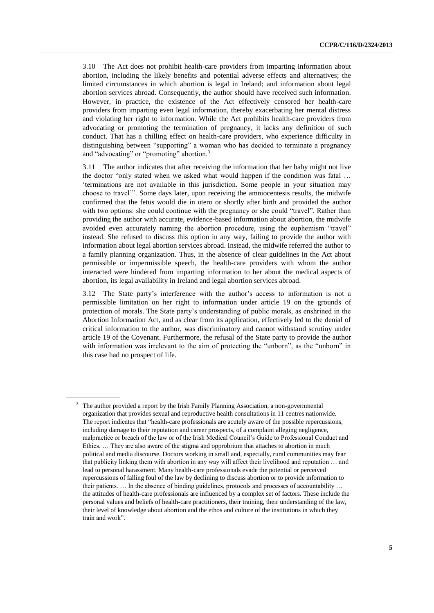3.10 The Act does not prohibit health-care providers from imparting information about abortion, including the likely benefits and potential adverse effects and alternatives; the limited circumstances in which abortion is legal in Ireland; and information about legal abortion services abroad. Consequently, the author should have received such information. However, in practice, the existence of the Act effectively censored her health-care providers from imparting even legal information, thereby exacerbating her mental distress and violating her right to information. While the Act prohibits health-care providers from advocating or promoting the termination of pregnancy, it lacks any definition of such conduct. That has a chilling effect on health-care providers, who experience difficulty in distinguishing between "supporting" a woman who has decided to terminate a pregnancy and "advocating" or "promoting" abortion.<sup>3</sup>

3.11 The author indicates that after receiving the information that her baby might not live the doctor "only stated when we asked what would happen if the condition was fatal … 'terminations are not available in this jurisdiction. Some people in your situation may choose to travel'". Some days later, upon receiving the amniocentesis results, the midwife confirmed that the fetus would die in utero or shortly after birth and provided the author with two options: she could continue with the pregnancy or she could "travel". Rather than providing the author with accurate, evidence-based information about abortion, the midwife avoided even accurately naming the abortion procedure, using the euphemism "travel" instead. She refused to discuss this option in any way, failing to provide the author with information about legal abortion services abroad. Instead, the midwife referred the author to a family planning organization. Thus, in the absence of clear guidelines in the Act about permissible or impermissible speech, the health-care providers with whom the author interacted were hindered from imparting information to her about the medical aspects of abortion, its legal availability in Ireland and legal abortion services abroad.

3.12 The State party's interference with the author's access to information is not a permissible limitation on her right to information under article 19 on the grounds of protection of morals. The State party's understanding of public morals, as enshrined in the Abortion Information Act, and as clear from its application, effectively led to the denial of critical information to the author, was discriminatory and cannot withstand scrutiny under article 19 of the Covenant. Furthermore, the refusal of the State party to provide the author with information was irrelevant to the aim of protecting the "unborn", as the "unborn" in this case had no prospect of life.

The author provided a report by the Irish Family Planning Association, a non-governmental organization that provides sexual and reproductive health consultations in 11 centres nationwide. The report indicates that "health-care professionals are acutely aware of the possible repercussions, including damage to their reputation and career prospects, of a complaint alleging negligence, malpractice or breach of the law or of the Irish Medical Council's Guide to Professional Conduct and Ethics. … They are also aware of the stigma and opprobrium that attaches to abortion in much political and media discourse. Doctors working in small and, especially, rural communities may fear that publicity linking them with abortion in any way will affect their livelihood and reputation … and lead to personal harassment. Many health-care professionals evade the potential or perceived repercussions of falling foul of the law by declining to discuss abortion or to provide information to their patients. … In the absence of binding guidelines, protocols and processes of accountability … the attitudes of health-care professionals are influenced by a complex set of factors. These include the personal values and beliefs of health-care practitioners, their training, their understanding of the law, their level of knowledge about abortion and the ethos and culture of the institutions in which they train and work".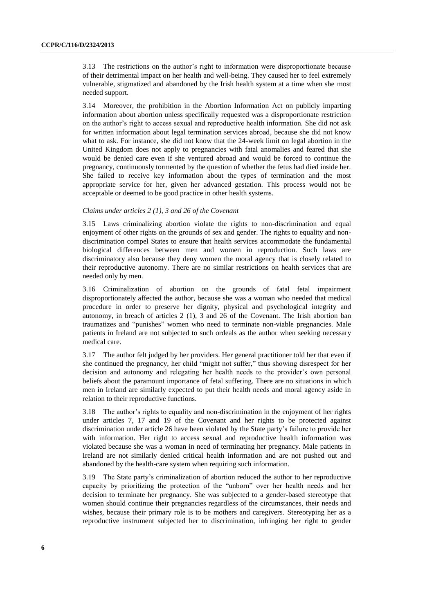3.13 The restrictions on the author's right to information were disproportionate because of their detrimental impact on her health and well-being. They caused her to feel extremely vulnerable, stigmatized and abandoned by the Irish health system at a time when she most needed support.

3.14 Moreover, the prohibition in the Abortion Information Act on publicly imparting information about abortion unless specifically requested was a disproportionate restriction on the author's right to access sexual and reproductive health information. She did not ask for written information about legal termination services abroad, because she did not know what to ask. For instance, she did not know that the 24-week limit on legal abortion in the United Kingdom does not apply to pregnancies with fatal anomalies and feared that she would be denied care even if she ventured abroad and would be forced to continue the pregnancy, continuously tormented by the question of whether the fetus had died inside her. She failed to receive key information about the types of termination and the most appropriate service for her, given her advanced gestation. This process would not be acceptable or deemed to be good practice in other health systems.

#### *Claims under articles 2 (1), 3 and 26 of the Covenant*

3.15 Laws criminalizing abortion violate the rights to non-discrimination and equal enjoyment of other rights on the grounds of sex and gender. The rights to equality and nondiscrimination compel States to ensure that health services accommodate the fundamental biological differences between men and women in reproduction. Such laws are discriminatory also because they deny women the moral agency that is closely related to their reproductive autonomy. There are no similar restrictions on health services that are needed only by men.

3.16 Criminalization of abortion on the grounds of fatal fetal impairment disproportionately affected the author, because she was a woman who needed that medical procedure in order to preserve her dignity, physical and psychological integrity and autonomy, in breach of articles 2 (1), 3 and 26 of the Covenant. The Irish abortion ban traumatizes and "punishes" women who need to terminate non-viable pregnancies. Male patients in Ireland are not subjected to such ordeals as the author when seeking necessary medical care.

3.17 The author felt judged by her providers. Her general practitioner told her that even if she continued the pregnancy, her child "might not suffer," thus showing disrespect for her decision and autonomy and relegating her health needs to the provider's own personal beliefs about the paramount importance of fetal suffering. There are no situations in which men in Ireland are similarly expected to put their health needs and moral agency aside in relation to their reproductive functions.

3.18 The author's rights to equality and non-discrimination in the enjoyment of her rights under articles 7, 17 and 19 of the Covenant and her rights to be protected against discrimination under article 26 have been violated by the State party's failure to provide her with information. Her right to access sexual and reproductive health information was violated because she was a woman in need of terminating her pregnancy. Male patients in Ireland are not similarly denied critical health information and are not pushed out and abandoned by the health-care system when requiring such information.

3.19 The State party's criminalization of abortion reduced the author to her reproductive capacity by prioritizing the protection of the "unborn" over her health needs and her decision to terminate her pregnancy. She was subjected to a gender-based stereotype that women should continue their pregnancies regardless of the circumstances, their needs and wishes, because their primary role is to be mothers and caregivers. Stereotyping her as a reproductive instrument subjected her to discrimination, infringing her right to gender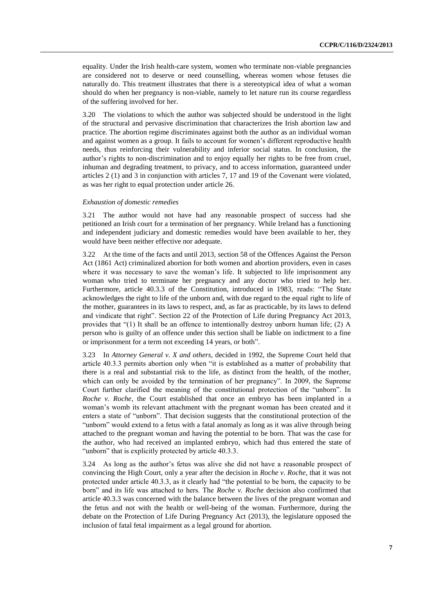equality. Under the Irish health-care system, women who terminate non-viable pregnancies are considered not to deserve or need counselling, whereas women whose fetuses die naturally do. This treatment illustrates that there is a stereotypical idea of what a woman should do when her pregnancy is non-viable, namely to let nature run its course regardless of the suffering involved for her.

3.20 The violations to which the author was subjected should be understood in the light of the structural and pervasive discrimination that characterizes the Irish abortion law and practice. The abortion regime discriminates against both the author as an individual woman and against women as a group. It fails to account for women's different reproductive health needs, thus reinforcing their vulnerability and inferior social status. In conclusion, the author's rights to non-discrimination and to enjoy equally her rights to be free from cruel, inhuman and degrading treatment, to privacy, and to access information, guaranteed under articles 2 (1) and 3 in conjunction with articles 7, 17 and 19 of the Covenant were violated, as was her right to equal protection under article 26.

#### *Exhaustion of domestic remedies*

3.21 The author would not have had any reasonable prospect of success had she petitioned an Irish court for a termination of her pregnancy. While Ireland has a functioning and independent judiciary and domestic remedies would have been available to her, they would have been neither effective nor adequate.

3.22 At the time of the facts and until 2013, section 58 of the Offences Against the Person Act (1861 Act) criminalized abortion for both women and abortion providers, even in cases where it was necessary to save the woman's life. It subjected to life imprisonment any woman who tried to terminate her pregnancy and any doctor who tried to help her. Furthermore, article 40.3.3 of the Constitution, introduced in 1983, reads: "The State acknowledges the right to life of the unborn and, with due regard to the equal right to life of the mother, guarantees in its laws to respect, and, as far as practicable, by its laws to defend and vindicate that right". Section 22 of the Protection of Life during Pregnancy Act 2013, provides that " $(1)$  It shall be an offence to intentionally destroy unborn human life;  $(2)$  A person who is guilty of an offence under this section shall be liable on indictment to a fine or imprisonment for a term not exceeding 14 years, or both".

3.23 In *Attorney General v. X and others*, decided in 1992, the Supreme Court held that article 40.3.3 permits abortion only when "it is established as a matter of probability that there is a real and substantial risk to the life, as distinct from the health, of the mother, which can only be avoided by the termination of her pregnancy". In 2009, the Supreme Court further clarified the meaning of the constitutional protection of the "unborn". In *Roche v. Roche*, the Court established that once an embryo has been implanted in a woman's womb its relevant attachment with the pregnant woman has been created and it enters a state of "unborn". That decision suggests that the constitutional protection of the "unborn" would extend to a fetus with a fatal anomaly as long as it was alive through being attached to the pregnant woman and having the potential to be born. That was the case for the author, who had received an implanted embryo, which had thus entered the state of "unborn" that is explicitly protected by article 40.3.3.

3.24 As long as the author's fetus was alive she did not have a reasonable prospect of convincing the High Court, only a year after the decision in *Roche v. Roche*, that it was not protected under article 40.3.3, as it clearly had "the potential to be born, the capacity to be born" and its life was attached to hers. The *Roche v. Roche* decision also confirmed that article 40.3.3 was concerned with the balance between the lives of the pregnant woman and the fetus and not with the health or well-being of the woman. Furthermore, during the debate on the Protection of Life During Pregnancy Act (2013), the legislature opposed the inclusion of fatal fetal impairment as a legal ground for abortion.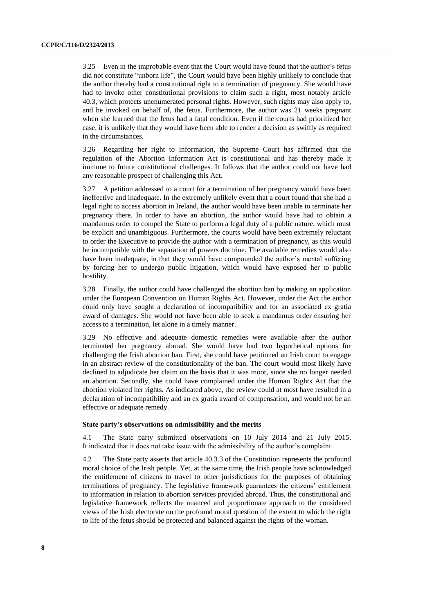3.25 Even in the improbable event that the Court would have found that the author's fetus did not constitute "unborn life", the Court would have been highly unlikely to conclude that the author thereby had a constitutional right to a termination of pregnancy. She would have had to invoke other constitutional provisions to claim such a right, most notably article 40.3, which protects unenumerated personal rights. However, such rights may also apply to, and be invoked on behalf of, the fetus. Furthermore, the author was 21 weeks pregnant when she learned that the fetus had a fatal condition. Even if the courts had prioritized her case, it is unlikely that they would have been able to render a decision as swiftly as required in the circumstances.

3.26 Regarding her right to information, the Supreme Court has affirmed that the regulation of the Abortion Information Act is constitutional and has thereby made it immune to future constitutional challenges. It follows that the author could not have had any reasonable prospect of challenging this Act.

3.27 A petition addressed to a court for a termination of her pregnancy would have been ineffective and inadequate. In the extremely unlikely event that a court found that she had a legal right to access abortion in Ireland, the author would have been unable to terminate her pregnancy there. In order to have an abortion, the author would have had to obtain a mandamus order to compel the State to perform a legal duty of a public nature, which must be explicit and unambiguous. Furthermore, the courts would have been extremely reluctant to order the Executive to provide the author with a termination of pregnancy, as this would be incompatible with the separation of powers doctrine. The available remedies would also have been inadequate, in that they would have compounded the author's mental suffering by forcing her to undergo public litigation, which would have exposed her to public hostility.

3.28 Finally, the author could have challenged the abortion ban by making an application under the European Convention on Human Rights Act. However, under the Act the author could only have sought a declaration of incompatibility and for an associated ex gratia award of damages. She would not have been able to seek a mandamus order ensuring her access to a termination, let alone in a timely manner.

3.29 No effective and adequate domestic remedies were available after the author terminated her pregnancy abroad. She would have had two hypothetical options for challenging the Irish abortion ban. First, she could have petitioned an Irish court to engage in an abstract review of the constitutionality of the ban. The court would most likely have declined to adjudicate her claim on the basis that it was moot, since she no longer needed an abortion. Secondly, she could have complained under the Human Rights Act that the abortion violated her rights. As indicated above, the review could at most have resulted in a declaration of incompatibility and an ex gratia award of compensation, and would not be an effective or adequate remedy.

#### **State party's observations on admissibility and the merits**

4.1 The State party submitted observations on 10 July 2014 and 21 July 2015. It indicated that it does not take issue with the admissibility of the author's complaint.

4.2 The State party asserts that article 40.3.3 of the Constitution represents the profound moral choice of the Irish people. Yet, at the same time, the Irish people have acknowledged the entitlement of citizens to travel to other jurisdictions for the purposes of obtaining terminations of pregnancy. The legislative framework guarantees the citizens' entitlement to information in relation to abortion services provided abroad. Thus, the constitutional and legislative framework reflects the nuanced and proportionate approach to the considered views of the Irish electorate on the profound moral question of the extent to which the right to life of the fetus should be protected and balanced against the rights of the woman.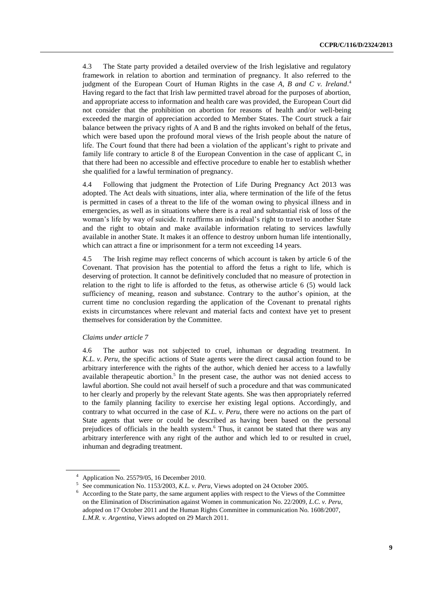4.3 The State party provided a detailed overview of the Irish legislative and regulatory framework in relation to abortion and termination of pregnancy. It also referred to the judgment of the European Court of Human Rights in the case *A, B and C v. Ireland*. 4 Having regard to the fact that Irish law permitted travel abroad for the purposes of abortion, and appropriate access to information and health care was provided, the European Court did not consider that the prohibition on abortion for reasons of health and/or well-being exceeded the margin of appreciation accorded to Member States. The Court struck a fair balance between the privacy rights of A and B and the rights invoked on behalf of the fetus, which were based upon the profound moral views of the Irish people about the nature of life. The Court found that there had been a violation of the applicant's right to private and family life contrary to article 8 of the European Convention in the case of applicant C, in that there had been no accessible and effective procedure to enable her to establish whether she qualified for a lawful termination of pregnancy.

4.4 Following that judgment the Protection of Life During Pregnancy Act 2013 was adopted. The Act deals with situations, inter alia, where termination of the life of the fetus is permitted in cases of a threat to the life of the woman owing to physical illness and in emergencies, as well as in situations where there is a real and substantial risk of loss of the woman's life by way of suicide. It reaffirms an individual's right to travel to another State and the right to obtain and make available information relating to services lawfully available in another State. It makes it an offence to destroy unborn human life intentionally, which can attract a fine or imprisonment for a term not exceeding 14 years.

4.5 The Irish regime may reflect concerns of which account is taken by article 6 of the Covenant. That provision has the potential to afford the fetus a right to life, which is deserving of protection. It cannot be definitively concluded that no measure of protection in relation to the right to life is afforded to the fetus, as otherwise article 6 (5) would lack sufficiency of meaning, reason and substance. Contrary to the author's opinion, at the current time no conclusion regarding the application of the Covenant to prenatal rights exists in circumstances where relevant and material facts and context have yet to present themselves for consideration by the Committee.

#### *Claims under article 7*

4.6 The author was not subjected to cruel, inhuman or degrading treatment. In *K.L. v. Peru*, the specific actions of State agents were the direct causal action found to be arbitrary interference with the rights of the author, which denied her access to a lawfully available therapeutic abortion. $5$  In the present case, the author was not denied access to lawful abortion. She could not avail herself of such a procedure and that was communicated to her clearly and properly by the relevant State agents. She was then appropriately referred to the family planning facility to exercise her existing legal options. Accordingly, and contrary to what occurred in the case of *K.L. v. Peru*, there were no actions on the part of State agents that were or could be described as having been based on the personal prejudices of officials in the health system.<sup>6</sup> Thus, it cannot be stated that there was any arbitrary interference with any right of the author and which led to or resulted in cruel, inhuman and degrading treatment.

<sup>4</sup> Application No. 25579/05, 16 December 2010.

<sup>5</sup> See communication No. 1153/2003, *K.L. v. Peru*, Views adopted on 24 October 2005.

<sup>6</sup> According to the State party, the same argument applies with respect to the Views of the Committee on the Elimination of Discrimination against Women in communication No. 22/2009, *L.C. v. Peru*, adopted on 17 October 2011 and the Human Rights Committee in communication No. 1608/2007, *L.M.R. v. Argentina*, Views adopted on 29 March 2011.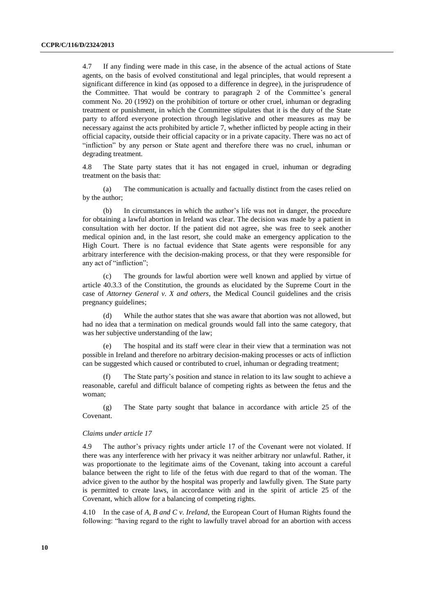4.7 If any finding were made in this case, in the absence of the actual actions of State agents, on the basis of evolved constitutional and legal principles, that would represent a significant difference in kind (as opposed to a difference in degree), in the jurisprudence of the Committee. That would be contrary to paragraph 2 of the Committee's general comment No. 20 (1992) on the prohibition of torture or other cruel, inhuman or degrading treatment or punishment, in which the Committee stipulates that it is the duty of the State party to afford everyone protection through legislative and other measures as may be necessary against the acts prohibited by article 7, whether inflicted by people acting in their official capacity, outside their official capacity or in a private capacity. There was no act of "infliction" by any person or State agent and therefore there was no cruel, inhuman or degrading treatment.

4.8 The State party states that it has not engaged in cruel, inhuman or degrading treatment on the basis that:

(a) The communication is actually and factually distinct from the cases relied on by the author;

(b) In circumstances in which the author's life was not in danger, the procedure for obtaining a lawful abortion in Ireland was clear. The decision was made by a patient in consultation with her doctor. If the patient did not agree, she was free to seek another medical opinion and, in the last resort, she could make an emergency application to the High Court. There is no factual evidence that State agents were responsible for any arbitrary interference with the decision-making process, or that they were responsible for any act of "infliction";

(c) The grounds for lawful abortion were well known and applied by virtue of article 40.3.3 of the Constitution, the grounds as elucidated by the Supreme Court in the case of *Attorney General v. X and others*, the Medical Council guidelines and the crisis pregnancy guidelines;

(d) While the author states that she was aware that abortion was not allowed, but had no idea that a termination on medical grounds would fall into the same category, that was her subjective understanding of the law;

(e) The hospital and its staff were clear in their view that a termination was not possible in Ireland and therefore no arbitrary decision-making processes or acts of infliction can be suggested which caused or contributed to cruel, inhuman or degrading treatment;

(f) The State party's position and stance in relation to its law sought to achieve a reasonable, careful and difficult balance of competing rights as between the fetus and the woman;

(g) The State party sought that balance in accordance with article 25 of the Covenant.

#### *Claims under article 17*

4.9 The author's privacy rights under article 17 of the Covenant were not violated. If there was any interference with her privacy it was neither arbitrary nor unlawful. Rather, it was proportionate to the legitimate aims of the Covenant, taking into account a careful balance between the right to life of the fetus with due regard to that of the woman. The advice given to the author by the hospital was properly and lawfully given. The State party is permitted to create laws, in accordance with and in the spirit of article 25 of the Covenant, which allow for a balancing of competing rights.

4.10 In the case of *A, B and C v. Ireland*, the European Court of Human Rights found the following: "having regard to the right to lawfully travel abroad for an abortion with access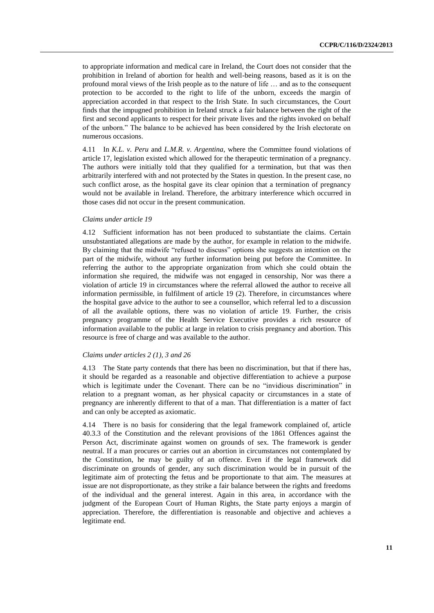to appropriate information and medical care in Ireland, the Court does not consider that the prohibition in Ireland of abortion for health and well-being reasons, based as it is on the profound moral views of the Irish people as to the nature of life … and as to the consequent protection to be accorded to the right to life of the unborn, exceeds the margin of appreciation accorded in that respect to the Irish State. In such circumstances, the Court finds that the impugned prohibition in Ireland struck a fair balance between the right of the first and second applicants to respect for their private lives and the rights invoked on behalf of the unborn." The balance to be achieved has been considered by the Irish electorate on numerous occasions.

4.11 In *K.L. v. Peru* and *L.M.R. v. Argentina*, where the Committee found violations of article 17, legislation existed which allowed for the therapeutic termination of a pregnancy. The authors were initially told that they qualified for a termination, but that was then arbitrarily interfered with and not protected by the States in question. In the present case, no such conflict arose, as the hospital gave its clear opinion that a termination of pregnancy would not be available in Ireland. Therefore, the arbitrary interference which occurred in those cases did not occur in the present communication.

#### *Claims under article 19*

4.12 Sufficient information has not been produced to substantiate the claims. Certain unsubstantiated allegations are made by the author, for example in relation to the midwife. By claiming that the midwife "refused to discuss" options she suggests an intention on the part of the midwife, without any further information being put before the Committee. In referring the author to the appropriate organization from which she could obtain the information she required, the midwife was not engaged in censorship, Nor was there a violation of article 19 in circumstances where the referral allowed the author to receive all information permissible, in fulfilment of article 19 (2). Therefore, in circumstances where the hospital gave advice to the author to see a counsellor, which referral led to a discussion of all the available options, there was no violation of article 19. Further, the crisis pregnancy programme of the Health Service Executive provides a rich resource of information available to the public at large in relation to crisis pregnancy and abortion. This resource is free of charge and was available to the author.

#### *Claims under articles 2 (1), 3 and 26*

4.13 The State party contends that there has been no discrimination, but that if there has, it should be regarded as a reasonable and objective differentiation to achieve a purpose which is legitimate under the Covenant. There can be no "invidious discrimination" in relation to a pregnant woman, as her physical capacity or circumstances in a state of pregnancy are inherently different to that of a man. That differentiation is a matter of fact and can only be accepted as axiomatic.

4.14 There is no basis for considering that the legal framework complained of, article 40.3.3 of the Constitution and the relevant provisions of the 1861 Offences against the Person Act, discriminate against women on grounds of sex. The framework is gender neutral. If a man procures or carries out an abortion in circumstances not contemplated by the Constitution, he may be guilty of an offence. Even if the legal framework did discriminate on grounds of gender, any such discrimination would be in pursuit of the legitimate aim of protecting the fetus and be proportionate to that aim. The measures at issue are not disproportionate, as they strike a fair balance between the rights and freedoms of the individual and the general interest. Again in this area, in accordance with the judgment of the European Court of Human Rights, the State party enjoys a margin of appreciation. Therefore, the differentiation is reasonable and objective and achieves a legitimate end.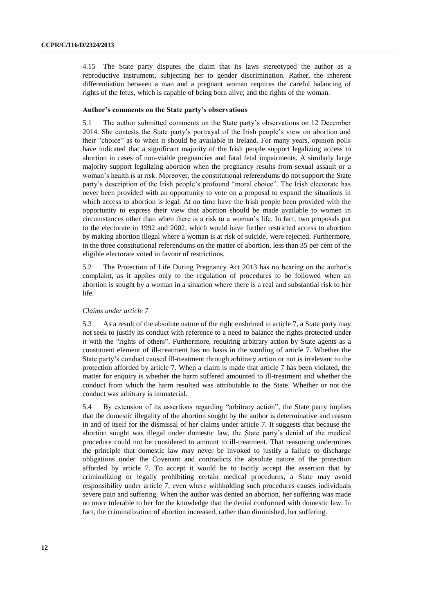4.15 The State party disputes the claim that its laws stereotyped the author as a reproductive instrument, subjecting her to gender discrimination. Rather, the inherent differentiation between a man and a pregnant woman requires the careful balancing of rights of the fetus, which is capable of being born alive, and the rights of the woman.

#### **Author's comments on the State party's observations**

5.1 The author submitted comments on the State party's observations on 12 December 2014. She contests the State party's portrayal of the Irish people's view on abortion and their "choice" as to when it should be available in Ireland. For many years, opinion polls have indicated that a significant majority of the Irish people support legalizing access to abortion in cases of non-viable pregnancies and fatal fetal impairments. A similarly large majority support legalizing abortion when the pregnancy results from sexual assault or a woman's health is at risk. Moreover, the constitutional referendums do not support the State party's description of the Irish people's profound "moral choice". The Irish electorate has never been provided with an opportunity to vote on a proposal to expand the situations in which access to abortion is legal. At no time have the Irish people been provided with the opportunity to express their view that abortion should be made available to women in circumstances other than when there is a risk to a woman's life. In fact, two proposals put to the electorate in 1992 and 2002, which would have further restricted access to abortion by making abortion illegal where a woman is at risk of suicide, were rejected. Furthermore, in the three constitutional referendums on the matter of abortion, less than 35 per cent of the eligible electorate voted in favour of restrictions.

5.2 The Protection of Life During Pregnancy Act 2013 has no bearing on the author's complaint, as it applies only to the regulation of procedures to be followed when an abortion is sought by a woman in a situation where there is a real and substantial risk to her life.

#### *Claims under article 7*

5.3 As a result of the absolute nature of the right enshrined in article 7, a State party may not seek to justify its conduct with reference to a need to balance the rights protected under it with the "rights of others". Furthermore, requiring arbitrary action by State agents as a constituent element of ill-treatment has no basis in the wording of article 7. Whether the State party's conduct caused ill-treatment through arbitrary action or not is irrelevant to the protection afforded by article 7. When a claim is made that article 7 has been violated, the matter for enquiry is whether the harm suffered amounted to ill-treatment and whether the conduct from which the harm resulted was attributable to the State. Whether or not the conduct was arbitrary is immaterial.

5.4 By extension of its assertions regarding "arbitrary action", the State party implies that the domestic illegality of the abortion sought by the author is determinative and reason in and of itself for the dismissal of her claims under article 7. It suggests that because the abortion sought was illegal under domestic law, the State party's denial of the medical procedure could not be considered to amount to ill-treatment. That reasoning undermines the principle that domestic law may never be invoked to justify a failure to discharge obligations under the Covenant and contradicts the absolute nature of the protection afforded by article 7. To accept it would be to tacitly accept the assertion that by criminalizing or legally prohibiting certain medical procedures, a State may avoid responsibility under article 7, even where withholding such procedures causes individuals severe pain and suffering. When the author was denied an abortion, her suffering was made no more tolerable to her for the knowledge that the denial conformed with domestic law. In fact, the criminalization of abortion increased, rather than diminished, her suffering.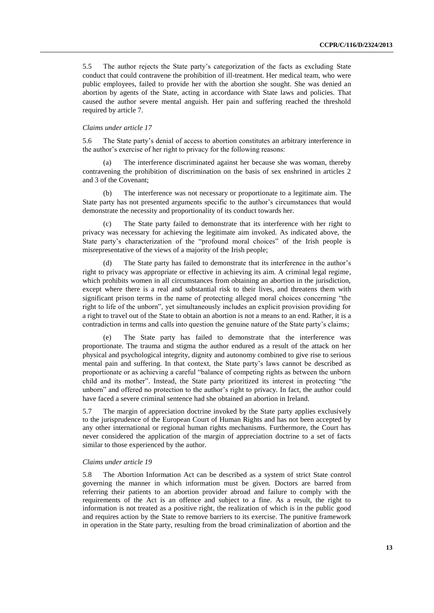5.5 The author rejects the State party's categorization of the facts as excluding State conduct that could contravene the prohibition of ill-treatment. Her medical team, who were public employees, failed to provide her with the abortion she sought. She was denied an abortion by agents of the State, acting in accordance with State laws and policies. That caused the author severe mental anguish. Her pain and suffering reached the threshold required by article 7.

#### *Claims under article 17*

5.6 The State party's denial of access to abortion constitutes an arbitrary interference in the author's exercise of her right to privacy for the following reasons:

The interference discriminated against her because she was woman, thereby contravening the prohibition of discrimination on the basis of sex enshrined in articles 2 and 3 of the Covenant;

(b) The interference was not necessary or proportionate to a legitimate aim. The State party has not presented arguments specific to the author's circumstances that would demonstrate the necessity and proportionality of its conduct towards her.

The State party failed to demonstrate that its interference with her right to privacy was necessary for achieving the legitimate aim invoked. As indicated above, the State party's characterization of the "profound moral choices" of the Irish people is misrepresentative of the views of a majority of the Irish people;

(d) The State party has failed to demonstrate that its interference in the author's right to privacy was appropriate or effective in achieving its aim. A criminal legal regime, which prohibits women in all circumstances from obtaining an abortion in the jurisdiction, except where there is a real and substantial risk to their lives, and threatens them with significant prison terms in the name of protecting alleged moral choices concerning "the right to life of the unborn", yet simultaneously includes an explicit provision providing for a right to travel out of the State to obtain an abortion is not a means to an end. Rather, it is a contradiction in terms and calls into question the genuine nature of the State party's claims;

(e) The State party has failed to demonstrate that the interference was proportionate. The trauma and stigma the author endured as a result of the attack on her physical and psychological integrity, dignity and autonomy combined to give rise to serious mental pain and suffering. In that context, the State party's laws cannot be described as proportionate or as achieving a careful "balance of competing rights as between the unborn child and its mother". Instead, the State party prioritized its interest in protecting "the unborn" and offered no protection to the author's right to privacy. In fact, the author could have faced a severe criminal sentence had she obtained an abortion in Ireland.

5.7 The margin of appreciation doctrine invoked by the State party applies exclusively to the jurisprudence of the European Court of Human Rights and has not been accepted by any other international or regional human rights mechanisms. Furthermore, the Court has never considered the application of the margin of appreciation doctrine to a set of facts similar to those experienced by the author.

#### *Claims under article 19*

5.8 The Abortion Information Act can be described as a system of strict State control governing the manner in which information must be given. Doctors are barred from referring their patients to an abortion provider abroad and failure to comply with the requirements of the Act is an offence and subject to a fine. As a result, the right to information is not treated as a positive right, the realization of which is in the public good and requires action by the State to remove barriers to its exercise. The punitive framework in operation in the State party, resulting from the broad criminalization of abortion and the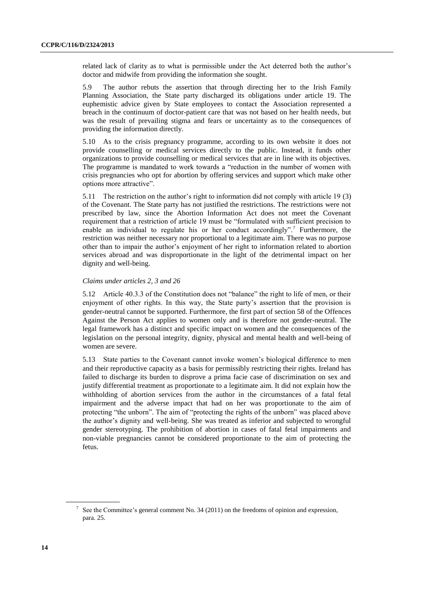related lack of clarity as to what is permissible under the Act deterred both the author's doctor and midwife from providing the information she sought.

5.9 The author rebuts the assertion that through directing her to the Irish Family Planning Association, the State party discharged its obligations under article 19. The euphemistic advice given by State employees to contact the Association represented a breach in the continuum of doctor-patient care that was not based on her health needs, but was the result of prevailing stigma and fears or uncertainty as to the consequences of providing the information directly.

5.10 As to the crisis pregnancy programme, according to its own website it does not provide counselling or medical services directly to the public. Instead, it funds other organizations to provide counselling or medical services that are in line with its objectives. The programme is mandated to work towards a "reduction in the number of women with crisis pregnancies who opt for abortion by offering services and support which make other options more attractive".

5.11 The restriction on the author's right to information did not comply with article 19 (3) of the Covenant. The State party has not justified the restrictions. The restrictions were not prescribed by law, since the Abortion Information Act does not meet the Covenant requirement that a restriction of article 19 must be "formulated with sufficient precision to enable an individual to regulate his or her conduct accordingly".<sup>7</sup> Furthermore, the restriction was neither necessary nor proportional to a legitimate aim. There was no purpose other than to impair the author's enjoyment of her right to information related to abortion services abroad and was disproportionate in the light of the detrimental impact on her dignity and well-being.

#### *Claims under articles 2, 3 and 26*

5.12 Article 40.3.3 of the Constitution does not "balance" the right to life of men, or their enjoyment of other rights. In this way, the State party's assertion that the provision is gender-neutral cannot be supported. Furthermore, the first part of section 58 of the Offences Against the Person Act applies to women only and is therefore not gender-neutral. The legal framework has a distinct and specific impact on women and the consequences of the legislation on the personal integrity, dignity, physical and mental health and well-being of women are severe.

5.13 State parties to the Covenant cannot invoke women's biological difference to men and their reproductive capacity as a basis for permissibly restricting their rights. Ireland has failed to discharge its burden to disprove a prima facie case of discrimination on sex and justify differential treatment as proportionate to a legitimate aim. It did not explain how the withholding of abortion services from the author in the circumstances of a fatal fetal impairment and the adverse impact that had on her was proportionate to the aim of protecting "the unborn". The aim of "protecting the rights of the unborn" was placed above the author's dignity and well-being. She was treated as inferior and subjected to wrongful gender stereotyping. The prohibition of abortion in cases of fatal fetal impairments and non-viable pregnancies cannot be considered proportionate to the aim of protecting the fetus.

 $7$  See the Committee's general comment No. 34 (2011) on the freedoms of opinion and expression, para. 25.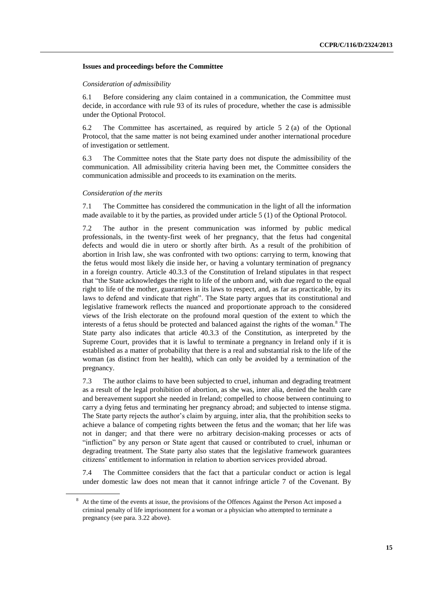#### **Issues and proceedings before the Committee**

#### *Consideration of admissibility*

6.1 Before considering any claim contained in a communication, the Committee must decide, in accordance with rule 93 of its rules of procedure, whether the case is admissible under the Optional Protocol.

6.2 The Committee has ascertained, as required by article 5 2 (a) of the Optional Protocol, that the same matter is not being examined under another international procedure of investigation or settlement.

6.3 The Committee notes that the State party does not dispute the admissibility of the communication. All admissibility criteria having been met, the Committee considers the communication admissible and proceeds to its examination on the merits.

#### *Consideration of the merits*

7.1 The Committee has considered the communication in the light of all the information made available to it by the parties, as provided under article 5 (1) of the Optional Protocol.

7.2 The author in the present communication was informed by public medical professionals, in the twenty-first week of her pregnancy, that the fetus had congenital defects and would die in utero or shortly after birth. As a result of the prohibition of abortion in Irish law, she was confronted with two options: carrying to term, knowing that the fetus would most likely die inside her, or having a voluntary termination of pregnancy in a foreign country. Article 40.3.3 of the Constitution of Ireland stipulates in that respect that "the State acknowledges the right to life of the unborn and, with due regard to the equal right to life of the mother, guarantees in its laws to respect, and, as far as practicable, by its laws to defend and vindicate that right". The State party argues that its constitutional and legislative framework reflects the nuanced and proportionate approach to the considered views of the Irish electorate on the profound moral question of the extent to which the interests of a fetus should be protected and balanced against the rights of the woman.<sup>8</sup> The State party also indicates that article 40.3.3 of the Constitution, as interpreted by the Supreme Court, provides that it is lawful to terminate a pregnancy in Ireland only if it is established as a matter of probability that there is a real and substantial risk to the life of the woman (as distinct from her health), which can only be avoided by a termination of the pregnancy.

7.3 The author claims to have been subjected to cruel, inhuman and degrading treatment as a result of the legal prohibition of abortion, as she was, inter alia, denied the health care and bereavement support she needed in Ireland; compelled to choose between continuing to carry a dying fetus and terminating her pregnancy abroad; and subjected to intense stigma. The State party rejects the author's claim by arguing, inter alia, that the prohibition seeks to achieve a balance of competing rights between the fetus and the woman; that her life was not in danger; and that there were no arbitrary decision-making processes or acts of "infliction" by any person or State agent that caused or contributed to cruel, inhuman or degrading treatment. The State party also states that the legislative framework guarantees citizens' entitlement to information in relation to abortion services provided abroad.

7.4 The Committee considers that the fact that a particular conduct or action is legal under domestic law does not mean that it cannot infringe article 7 of the Covenant. By

At the time of the events at issue, the provisions of the Offences Against the Person Act imposed a criminal penalty of life imprisonment for a woman or a physician who attempted to terminate a pregnancy (see para. 3.22 above).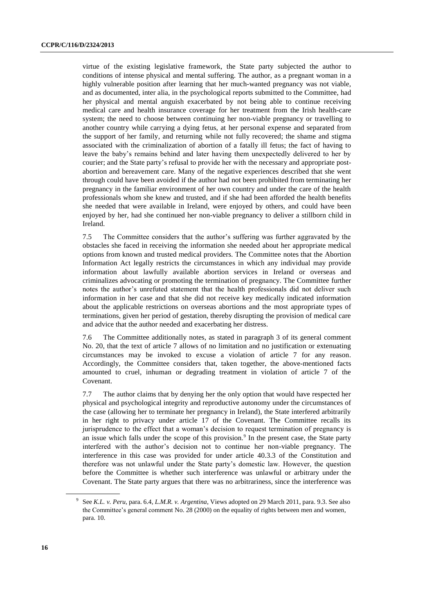virtue of the existing legislative framework, the State party subjected the author to conditions of intense physical and mental suffering. The author, as a pregnant woman in a highly vulnerable position after learning that her much-wanted pregnancy was not viable, and as documented, inter alia, in the psychological reports submitted to the Committee, had her physical and mental anguish exacerbated by not being able to continue receiving medical care and health insurance coverage for her treatment from the Irish health-care system; the need to choose between continuing her non-viable pregnancy or travelling to another country while carrying a dying fetus, at her personal expense and separated from the support of her family, and returning while not fully recovered; the shame and stigma associated with the criminalization of abortion of a fatally ill fetus; the fact of having to leave the baby's remains behind and later having them unexpectedly delivered to her by courier; and the State party's refusal to provide her with the necessary and appropriate postabortion and bereavement care. Many of the negative experiences described that she went through could have been avoided if the author had not been prohibited from terminating her pregnancy in the familiar environment of her own country and under the care of the health professionals whom she knew and trusted, and if she had been afforded the health benefits she needed that were available in Ireland, were enjoyed by others, and could have been enjoyed by her, had she continued her non-viable pregnancy to deliver a stillborn child in Ireland.

7.5 The Committee considers that the author's suffering was further aggravated by the obstacles she faced in receiving the information she needed about her appropriate medical options from known and trusted medical providers. The Committee notes that the Abortion Information Act legally restricts the circumstances in which any individual may provide information about lawfully available abortion services in Ireland or overseas and criminalizes advocating or promoting the termination of pregnancy. The Committee further notes the author's unrefuted statement that the health professionals did not deliver such information in her case and that she did not receive key medically indicated information about the applicable restrictions on overseas abortions and the most appropriate types of terminations, given her period of gestation, thereby disrupting the provision of medical care and advice that the author needed and exacerbating her distress.

7.6 The Committee additionally notes, as stated in paragraph 3 of its general comment No. 20, that the text of article 7 allows of no limitation and no justification or extenuating circumstances may be invoked to excuse a violation of article 7 for any reason. Accordingly, the Committee considers that, taken together, the above-mentioned facts amounted to cruel, inhuman or degrading treatment in violation of article 7 of the Covenant.

7.7 The author claims that by denying her the only option that would have respected her physical and psychological integrity and reproductive autonomy under the circumstances of the case (allowing her to terminate her pregnancy in Ireland), the State interfered arbitrarily in her right to privacy under article 17 of the Covenant. The Committee recalls its jurisprudence to the effect that a woman's decision to request termination of pregnancy is an issue which falls under the scope of this provision.<sup>9</sup> In the present case, the State party interfered with the author's decision not to continue her non-viable pregnancy. The interference in this case was provided for under article 40.3.3 of the Constitution and therefore was not unlawful under the State party's domestic law. However, the question before the Committee is whether such interference was unlawful or arbitrary under the Covenant. The State party argues that there was no arbitrariness, since the interference was

<sup>9</sup> See *K.L. v. Peru*, para. 6.4, *L.M.R. v. Argentina*, Views adopted on 29 March 2011, para. 9.3. See also the Committee's general comment No. 28 (2000) on the equality of rights between men and women, para. 10.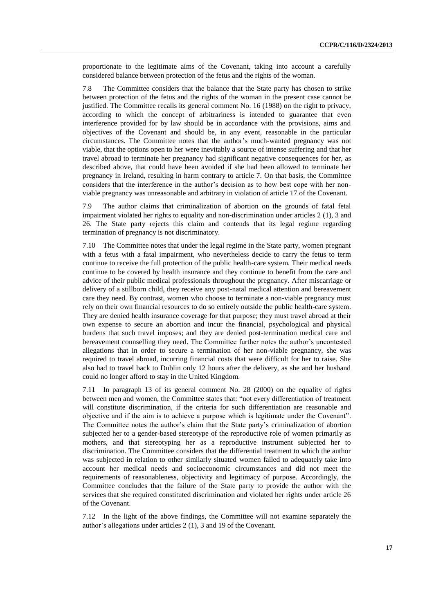proportionate to the legitimate aims of the Covenant, taking into account a carefully considered balance between protection of the fetus and the rights of the woman.

7.8 The Committee considers that the balance that the State party has chosen to strike between protection of the fetus and the rights of the woman in the present case cannot be justified. The Committee recalls its general comment No. 16 (1988) on the right to privacy, according to which the concept of arbitrariness is intended to guarantee that even interference provided for by law should be in accordance with the provisions, aims and objectives of the Covenant and should be, in any event, reasonable in the particular circumstances. The Committee notes that the author's much-wanted pregnancy was not viable, that the options open to her were inevitably a source of intense suffering and that her travel abroad to terminate her pregnancy had significant negative consequences for her, as described above, that could have been avoided if she had been allowed to terminate her pregnancy in Ireland, resulting in harm contrary to article 7. On that basis, the Committee considers that the interference in the author's decision as to how best cope with her nonviable pregnancy was unreasonable and arbitrary in violation of article 17 of the Covenant.

7.9 The author claims that criminalization of abortion on the grounds of fatal fetal impairment violated her rights to equality and non-discrimination under articles 2 (1), 3 and 26. The State party rejects this claim and contends that its legal regime regarding termination of pregnancy is not discriminatory.

7.10 The Committee notes that under the legal regime in the State party, women pregnant with a fetus with a fatal impairment, who nevertheless decide to carry the fetus to term continue to receive the full protection of the public health-care system. Their medical needs continue to be covered by health insurance and they continue to benefit from the care and advice of their public medical professionals throughout the pregnancy. After miscarriage or delivery of a stillborn child, they receive any post-natal medical attention and bereavement care they need. By contrast, women who choose to terminate a non-viable pregnancy must rely on their own financial resources to do so entirely outside the public health-care system. They are denied health insurance coverage for that purpose; they must travel abroad at their own expense to secure an abortion and incur the financial, psychological and physical burdens that such travel imposes; and they are denied post-termination medical care and bereavement counselling they need. The Committee further notes the author's uncontested allegations that in order to secure a termination of her non-viable pregnancy, she was required to travel abroad, incurring financial costs that were difficult for her to raise. She also had to travel back to Dublin only 12 hours after the delivery, as she and her husband could no longer afford to stay in the United Kingdom.

7.11 In paragraph 13 of its general comment No. 28 (2000) on the equality of rights between men and women, the Committee states that: "not every differentiation of treatment will constitute discrimination, if the criteria for such differentiation are reasonable and objective and if the aim is to achieve a purpose which is legitimate under the Covenant". The Committee notes the author's claim that the State party's criminalization of abortion subjected her to a gender-based stereotype of the reproductive role of women primarily as mothers, and that stereotyping her as a reproductive instrument subjected her to discrimination. The Committee considers that the differential treatment to which the author was subjected in relation to other similarly situated women failed to adequately take into account her medical needs and socioeconomic circumstances and did not meet the requirements of reasonableness, objectivity and legitimacy of purpose. Accordingly, the Committee concludes that the failure of the State party to provide the author with the services that she required constituted discrimination and violated her rights under article 26 of the Covenant.

7.12 In the light of the above findings, the Committee will not examine separately the author's allegations under articles 2 (1), 3 and 19 of the Covenant.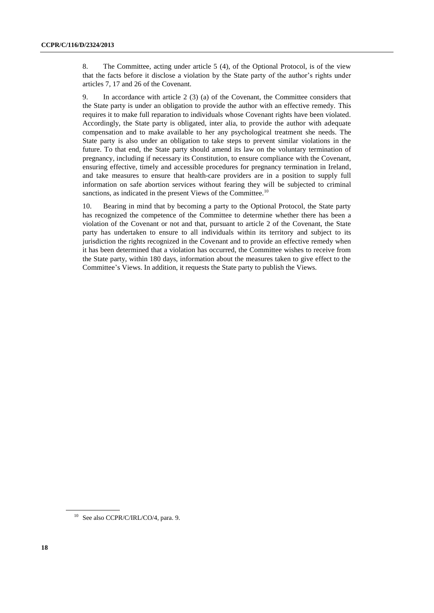8. The Committee, acting under article 5 (4), of the Optional Protocol, is of the view that the facts before it disclose a violation by the State party of the author's rights under articles 7, 17 and 26 of the Covenant.

9. In accordance with article 2 (3) (a) of the Covenant, the Committee considers that the State party is under an obligation to provide the author with an effective remedy. This requires it to make full reparation to individuals whose Covenant rights have been violated. Accordingly, the State party is obligated, inter alia, to provide the author with adequate compensation and to make available to her any psychological treatment she needs. The State party is also under an obligation to take steps to prevent similar violations in the future. To that end, the State party should amend its law on the voluntary termination of pregnancy, including if necessary its Constitution, to ensure compliance with the Covenant, ensuring effective, timely and accessible procedures for pregnancy termination in Ireland, and take measures to ensure that health-care providers are in a position to supply full information on safe abortion services without fearing they will be subjected to criminal sanctions, as indicated in the present Views of the Committee.<sup>10</sup>

10. Bearing in mind that by becoming a party to the Optional Protocol, the State party has recognized the competence of the Committee to determine whether there has been a violation of the Covenant or not and that, pursuant to article 2 of the Covenant, the State party has undertaken to ensure to all individuals within its territory and subject to its jurisdiction the rights recognized in the Covenant and to provide an effective remedy when it has been determined that a violation has occurred, the Committee wishes to receive from the State party, within 180 days, information about the measures taken to give effect to the Committee's Views. In addition, it requests the State party to publish the Views.

<sup>&</sup>lt;sup>10</sup> See also CCPR/C/IRL/CO/4, para. 9.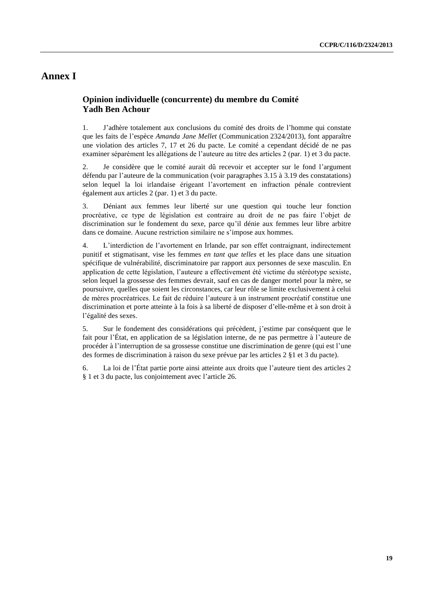# **Annex I**

### **Opinion individuelle (concurrente) du membre du Comité Yadh Ben Achour**

1. J'adhère totalement aux conclusions du comité des droits de l'homme qui constate que les faits de l'espèce *Amanda Jane Mellet* (Communication 2324/2013), font apparaître une violation des articles 7, 17 et 26 du pacte. Le comité a cependant décidé de ne pas examiner séparément les allégations de l'auteure au titre des articles 2 (par. 1) et 3 du pacte.

2. Je considère que le comité aurait dû recevoir et accepter sur le fond l'argument défendu par l'auteure de la communication (voir paragraphes 3.15 à 3.19 des constatations) selon lequel la loi irlandaise érigeant l'avortement en infraction pénale contrevient également aux articles 2 (par. 1) et 3 du pacte.

3. Déniant aux femmes leur liberté sur une question qui touche leur fonction procréative, ce type de législation est contraire au droit de ne pas faire l'objet de discrimination sur le fondement du sexe, parce qu'il dénie aux femmes leur libre arbitre dans ce domaine. Aucune restriction similaire ne s'impose aux hommes.

4. L'interdiction de l'avortement en Irlande, par son effet contraignant, indirectement punitif et stigmatisant, vise les femmes *en tant que telles* et les place dans une situation spécifique de vulnérabilité, discriminatoire par rapport aux personnes de sexe masculin. En application de cette législation, l'auteure a effectivement été victime du stéréotype sexiste, selon lequel la grossesse des femmes devrait, sauf en cas de danger mortel pour la mère, se poursuivre, quelles que soient les circonstances, car leur rôle se limite exclusivement à celui de mères procréatrices. Le fait de réduire l'auteure à un instrument procréatif constitue une discrimination et porte atteinte à la fois à sa liberté de disposer d'elle-même et à son droit à l'égalité des sexes.

5. Sur le fondement des considérations qui précèdent, j'estime par conséquent que le fait pour l'État, en application de sa législation interne, de ne pas permettre à l'auteure de procéder à l'interruption de sa grossesse constitue une discrimination de genre (qui est l'une des formes de discrimination à raison du sexe prévue par les articles 2 §1 et 3 du pacte).

6. La loi de l'État partie porte ainsi atteinte aux droits que l'auteure tient des articles 2 § 1 et 3 du pacte, lus conjointement avec l'article 26.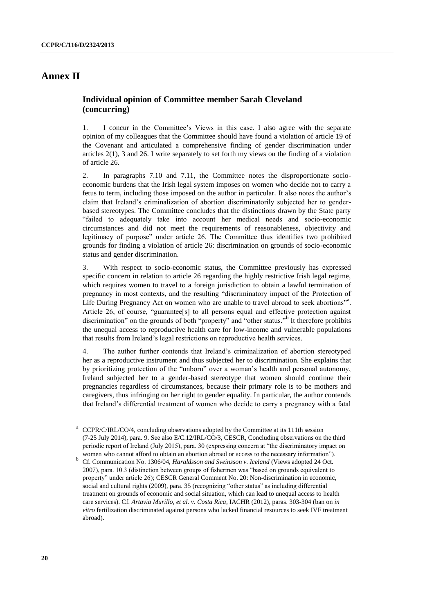# **Annex II**

### **Individual opinion of Committee member Sarah Cleveland (concurring)**

1. I concur in the Committee's Views in this case. I also agree with the separate opinion of my colleagues that the Committee should have found a violation of article 19 of the Covenant and articulated a comprehensive finding of gender discrimination under articles 2(1), 3 and 26. I write separately to set forth my views on the finding of a violation of article 26.

2. In paragraphs 7.10 and 7.11, the Committee notes the disproportionate socioeconomic burdens that the Irish legal system imposes on women who decide not to carry a fetus to term, including those imposed on the author in particular. It also notes the author's claim that Ireland's criminalization of abortion discriminatorily subjected her to genderbased stereotypes. The Committee concludes that the distinctions drawn by the State party "failed to adequately take into account her medical needs and socio-economic circumstances and did not meet the requirements of reasonableness, objectivity and legitimacy of purpose" under article 26. The Committee thus identifies two prohibited grounds for finding a violation of article 26: discrimination on grounds of socio-economic status and gender discrimination.

3. With respect to socio-economic status, the Committee previously has expressed specific concern in relation to article 26 regarding the highly restrictive Irish legal regime, which requires women to travel to a foreign jurisdiction to obtain a lawful termination of pregnancy in most contexts, and the resulting "discriminatory impact of the Protection of Life During Pregnancy Act on women who are unable to travel abroad to seek abortions"<sup>a</sup>. Article 26, of course, "guarantee[s] to all persons equal and effective protection against discrimination" on the grounds of both "property" and "other status."<sup>b</sup> It therefore prohibits the unequal access to reproductive health care for low-income and vulnerable populations that results from Ireland's legal restrictions on reproductive health services.

4. The author further contends that Ireland's criminalization of abortion stereotyped her as a reproductive instrument and thus subjected her to discrimination. She explains that by prioritizing protection of the "unborn" over a woman's health and personal autonomy, Ireland subjected her to a gender-based stereotype that women should continue their pregnancies regardless of circumstances, because their primary role is to be mothers and caregivers, thus infringing on her right to gender equality. In particular, the author contends that Ireland's differential treatment of women who decide to carry a pregnancy with a fatal

<sup>&</sup>lt;sup>a</sup> CCPR/C/IRL/CO/4, concluding observations adopted by the Committee at its 111th session (7-25 July 2014), para. 9. See also E/C.12/IRL/CO/3, CESCR, Concluding observations on the third periodic report of Ireland (July 2015), para. 30 (expressing concern at "the discriminatory impact on women who cannot afford to obtain an abortion abroad or access to the necessary information").

<sup>&</sup>lt;sup>b</sup> Cf. Communication No. 1306/04, *Haraldsson and Sveinsson v. Iceland* (Views adopted 24 Oct. 2007), para. 10.3 (distinction between groups of fishermen was "based on grounds equivalent to property" under article 26); CESCR General Comment No. 20: Non-discrimination in economic, social and cultural rights (2009), para. 35 (recognizing "other status" as including differential treatment on grounds of economic and social situation, which can lead to unequal access to health care services). Cf. *Artavia Murillo, et al. v. Costa Rica*, IACHR (2012), paras. 303-304 (ban on *in vitro* fertilization discriminated against persons who lacked financial resources to seek IVF treatment abroad).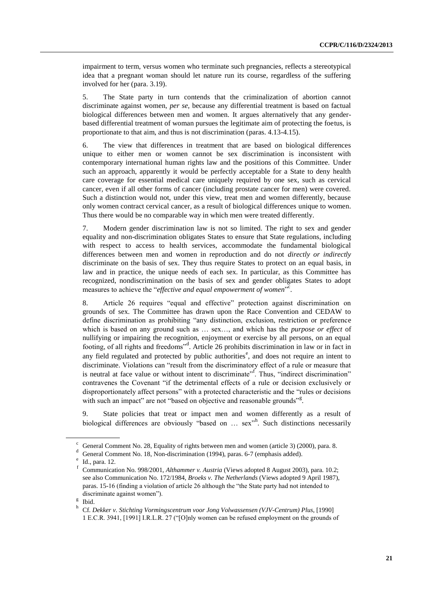impairment to term, versus women who terminate such pregnancies, reflects a stereotypical idea that a pregnant woman should let nature run its course, regardless of the suffering involved for her (para. 3.19).

5. The State party in turn contends that the criminalization of abortion cannot discriminate against women, *per se*, because any differential treatment is based on factual biological differences between men and women. It argues alternatively that any genderbased differential treatment of woman pursues the legitimate aim of protecting the foetus, is proportionate to that aim, and thus is not discrimination (paras. 4.13-4.15).

6. The view that differences in treatment that are based on biological differences unique to either men or women cannot be sex discrimination is inconsistent with contemporary international human rights law and the positions of this Committee. Under such an approach, apparently it would be perfectly acceptable for a State to deny health care coverage for essential medical care uniquely required by one sex, such as cervical cancer, even if all other forms of cancer (including prostate cancer for men) were covered. Such a distinction would not, under this view, treat men and women differently, because only women contract cervical cancer, as a result of biological differences unique to women. Thus there would be no comparable way in which men were treated differently.

7. Modern gender discrimination law is not so limited. The right to sex and gender equality and non-discrimination obligates States to ensure that State regulations, including with respect to access to health services, accommodate the fundamental biological differences between men and women in reproduction and do not *directly or indirectly* discriminate on the basis of sex. They thus require States to protect on an equal basis, in law and in practice, the unique needs of each sex. In particular, as this Committee has recognized, nondiscrimination on the basis of sex and gender obligates States to adopt measures to achieve the "*effective and equal empowerment of women*".

8. Article 26 requires "equal and effective" protection against discrimination on grounds of sex. The Committee has drawn upon the Race Convention and CEDAW to define discrimination as prohibiting "any distinction, exclusion, restriction or preference which is based on any ground such as … sex…, and which has the *purpose or effect* of nullifying or impairing the recognition, enjoyment or exercise by all persons, on an equal footing, of all rights and freedoms"<sup>d</sup>. Article 26 prohibits discrimination in law or in fact in any field regulated and protected by public authorities<sup>e</sup>, and does not require an intent to discriminate. Violations can "result from the discriminatory effect of a rule or measure that is neutral at face value or without intent to discriminate". Thus, "indirect discrimination" contravenes the Covenant "if the detrimental effects of a rule or decision exclusively or disproportionately affect persons" with a protected characteristic and the "rules or decisions with such an impact" are not "based on objective and reasonable grounds"<sup>g</sup>.

9. State policies that treat or impact men and women differently as a result of biological differences are obviously "based on ... sex"<sup>h</sup>. Such distinctions necessarily

General Comment No. 28, Equality of rights between men and women (article 3) (2000), para. 8.

General Comment No. 18, Non-discrimination (1994), paras. 6-7 (emphasis added).

e Id., para. 12.

f Communication No. 998/2001, *Althammer v. Austria* (Views adopted 8 August 2003), para. 10.2; see also Communication No. 172/1984, *Broeks v. The Netherlands* (Views adopted 9 April 1987), paras. 15-16 (finding a violation of article 26 although the "the State party had not intended to discriminate against women").

g Ibid. h

Cf. *Dekker v. Stichting Vormingscentrum voor Jong Volwassensen (VJV-Centrum) Plus*, [1990] 1 E.C.R. 3941, [1991] I.R.L.R. 27 ("[O]nly women can be refused employment on the grounds of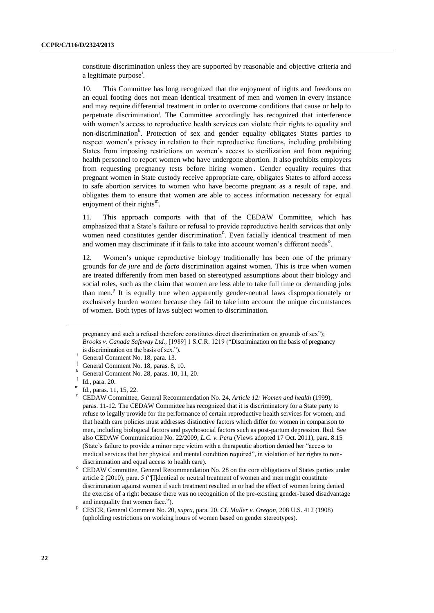constitute discrimination unless they are supported by reasonable and objective criteria and a legitimate purpose<sup>i</sup>.

10. This Committee has long recognized that the enjoyment of rights and freedoms on an equal footing does not mean identical treatment of men and women in every instance and may require differential treatment in order to overcome conditions that cause or help to perpetuate discrimination<sup>j</sup>. The Committee accordingly has recognized that interference with women's access to reproductive health services can violate their rights to equality and non-discrimination<sup>k</sup>. Protection of sex and gender equality obligates States parties to respect women's privacy in relation to their reproductive functions, including prohibiting States from imposing restrictions on women's access to sterilization and from requiring health personnel to report women who have undergone abortion. It also prohibits employers from requesting pregnancy tests before hiring women<sup>1</sup>. Gender equality requires that pregnant women in State custody receive appropriate care, obligates States to afford access to safe abortion services to women who have become pregnant as a result of rape, and obligates them to ensure that women are able to access information necessary for equal enjoyment of their rights $^{\rm m}$ .

11. This approach comports with that of the CEDAW Committee, which has emphasized that a State's failure or refusal to provide reproductive health services that only women need constitutes gender discrimination<sup>n</sup>. Even facially identical treatment of men and women may discriminate if it fails to take into account women's different needs<sup>o</sup>.

12. Women's unique reproductive biology traditionally has been one of the primary grounds for *de jure* and *de facto* discrimination against women. This is true when women are treated differently from men based on stereotyped assumptions about their biology and social roles, such as the claim that women are less able to take full time or demanding jobs than men.<sup>p</sup> It is equally true when apparently gender-neutral laws disproportionately or exclusively burden women because they fail to take into account the unique circumstances of women. Both types of laws subject women to discrimination.

pregnancy and such a refusal therefore constitutes direct discrimination on grounds of sex"); *Brooks v. Canada Safeway Ltd.,* [1989] 1 S.C.R. 1219 ("Discrimination on the basis of pregnancy

is discrimination on the basis of sex.").

<sup>&</sup>lt;sup>1</sup> General Comment No. 18, para. 13.

<sup>&</sup>lt;sup>J</sup> General Comment No. 18, paras. 8, 10.<br>
<sup>k</sup> Ganagel Comment No. 28, paras. 10, 11.

<sup>k</sup> General Comment No. 28, paras. 10, 11, 20. l

Id., para. 20.

m Id., paras. 11, 15, 22.

n CEDAW Committee, General Recommendation No. 24, *Article 12: Women and health* (1999), paras. 11-12. The CEDAW Committee has recognized that it is discriminatory for a State party to refuse to legally provide for the performance of certain reproductive health services for women, and that health care policies must addresses distinctive factors which differ for women in comparison to men, including biological factors and psychosocial factors such as post-partum depression. Ibid. See also CEDAW Communication No. 22/2009, *L.C. v. Peru* (Views adopted 17 Oct. 2011), para. 8.15 (State's failure to provide a minor rape victim with a therapeutic abortion denied her "access to medical services that her physical and mental condition required", in violation of her rights to nondiscrimination and equal access to health care).

<sup>&</sup>lt;sup>o</sup> CEDAW Committee, General Recommendation No. 28 on the core obligations of States parties under article 2 (2010), para. 5 ("[I]dentical or neutral treatment of women and men might constitute discrimination against women if such treatment resulted in or had the effect of women being denied the exercise of a right because there was no recognition of the pre-existing gender-based disadvantage and inequality that women face.").

p CESCR, General Comment No. 20, *supra*, para. 20. Cf. *Muller v. Oregon*, 208 U.S. 412 (1908) (upholding restrictions on working hours of women based on gender stereotypes).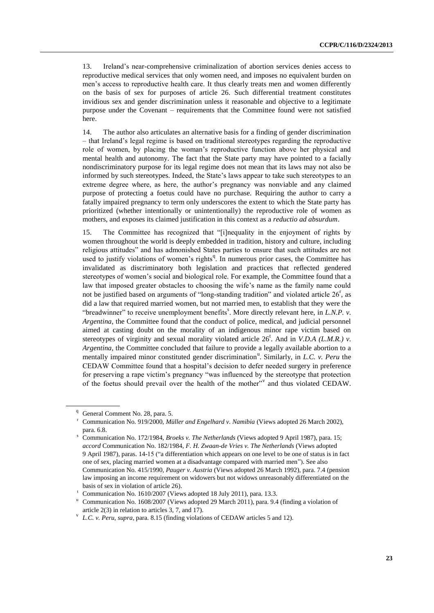13. Ireland's near-comprehensive criminalization of abortion services denies access to reproductive medical services that only women need, and imposes no equivalent burden on men's access to reproductive health care. It thus clearly treats men and women differently on the basis of sex for purposes of article 26. Such differential treatment constitutes invidious sex and gender discrimination unless it reasonable and objective to a legitimate purpose under the Covenant – requirements that the Committee found were not satisfied here.

14. The author also articulates an alternative basis for a finding of gender discrimination – that Ireland's legal regime is based on traditional stereotypes regarding the reproductive role of women, by placing the woman's reproductive function above her physical and mental health and autonomy. The fact that the State party may have pointed to a facially nondiscriminatory purpose for its legal regime does not mean that its laws may not also be informed by such stereotypes. Indeed, the State's laws appear to take such stereotypes to an extreme degree where, as here, the author's pregnancy was nonviable and any claimed purpose of protecting a foetus could have no purchase. Requiring the author to carry a fatally impaired pregnancy to term only underscores the extent to which the State party has prioritized (whether intentionally or unintentionally) the reproductive role of women as mothers, and exposes its claimed justification in this context as a *reductio ad absurdum*.

15. The Committee has recognized that "[i]nequality in the enjoyment of rights by women throughout the world is deeply embedded in tradition, history and culture, including religious attitudes" and has admonished States parties to ensure that such attitudes are not used to justify violations of women's rights<sup>q</sup>. In numerous prior cases, the Committee has invalidated as discriminatory both legislation and practices that reflected gendered stereotypes of women's social and biological role. For example, the Committee found that a law that imposed greater obstacles to choosing the wife's name as the family name could not be justified based on arguments of "long-standing tradition" and violated article  $26<sup>r</sup>$ , as did a law that required married women, but not married men, to establish that they were the "breadwinner" to receive unemployment benefits<sup>8</sup>. More directly relevant here, in *L.N.P. v. Argentina,* the Committee found that the conduct of police, medical, and judicial personnel aimed at casting doubt on the morality of an indigenous minor rape victim based on stereotypes of virginity and sexual morality violated article  $26^t$ . And in *V.D.A (L.M.R.) v. Argentina,* the Committee concluded that failure to provide a legally available abortion to a mentally impaired minor constituted gender discrimination<sup>u</sup>. Similarly, in *L.C. v. Peru* the CEDAW Committee found that a hospital's decision to defer needed surgery in preference for preserving a rape victim's pregnancy "was influenced by the stereotype that protection of the foetus should prevail over the health of the mother"<sup>v</sup> and thus violated CEDAW.

<sup>&</sup>lt;sup>q</sup> General Comment No. 28, para. 5.

<sup>r</sup> Communication No. 919/2000, *Müller and Engelhard v. Namibia* (Views adopted 26 March 2002), para. 6.8.

<sup>s</sup> Communication No. 172/1984, *Broeks v. The Netherlands* (Views adopted 9 April 1987), para. 15; *accord* Communication No. 182/1984, *F. H. Zwaan-de Vries v. The Netherlands* (Views adopted 9 April 1987), paras. 14-15 ("a differentiation which appears on one level to be one of status is in fact one of sex, placing married women at a disadvantage compared with married men"). See also Communication No. 415/1990, *Pauger v. Austria* (Views adopted 26 March 1992), para. 7.4 (pension law imposing an income requirement on widowers but not widows unreasonably differentiated on the basis of sex in violation of article 26).

<sup>t</sup> Communication No. 1610/2007 (Views adopted 18 July 2011), para. 13.3.

<sup>u</sup> Communication No. 1608/2007 (Views adopted 29 March 2011), para. 9.4 (finding a violation of article 2(3) in relation to articles 3, 7, and 17).

v *L.C. v. Peru, supra*, para. 8.15 (finding violations of CEDAW articles 5 and 12).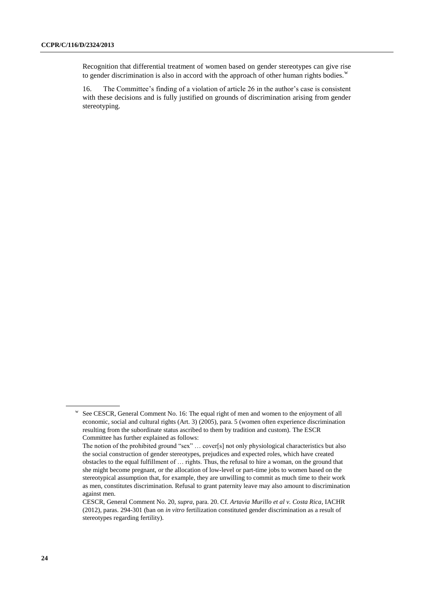Recognition that differential treatment of women based on gender stereotypes can give rise to gender discrimination is also in accord with the approach of other human rights bodies. $w$ 

16. The Committee's finding of a violation of article 26 in the author's case is consistent with these decisions and is fully justified on grounds of discrimination arising from gender stereotyping.

w See CESCR, General Comment No. 16: The equal right of men and women to the enjoyment of all economic, social and cultural rights (Art. 3) (2005), para. 5 (women often experience discrimination resulting from the subordinate status ascribed to them by tradition and custom). The ESCR Committee has further explained as follows:

The notion of the prohibited ground "sex" … cover[s] not only physiological characteristics but also the social construction of gender stereotypes, prejudices and expected roles, which have created obstacles to the equal fulfillment of … rights. Thus, the refusal to hire a woman, on the ground that she might become pregnant, or the allocation of low-level or part-time jobs to women based on the stereotypical assumption that, for example, they are unwilling to commit as much time to their work as men, constitutes discrimination. Refusal to grant paternity leave may also amount to discrimination against men.

CESCR, General Comment No. 20, *supra*, para. 20. Cf. *Artavia Murillo et al v. Costa Rica*, IACHR (2012), paras. 294-301 (ban on *in vitro* fertilization constituted gender discrimination as a result of stereotypes regarding fertility).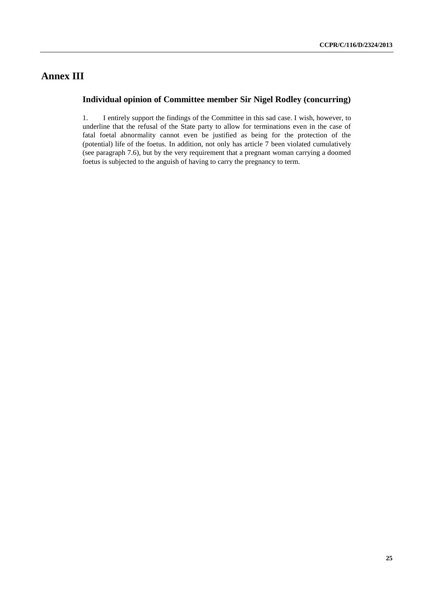# **Annex III**

### **Individual opinion of Committee member Sir Nigel Rodley (concurring)**

1. I entirely support the findings of the Committee in this sad case. I wish, however, to underline that the refusal of the State party to allow for terminations even in the case of fatal foetal abnormality cannot even be justified as being for the protection of the (potential) life of the foetus. In addition, not only has article 7 been violated cumulatively (see paragraph 7.6), but by the very requirement that a pregnant woman carrying a doomed foetus is subjected to the anguish of having to carry the pregnancy to term.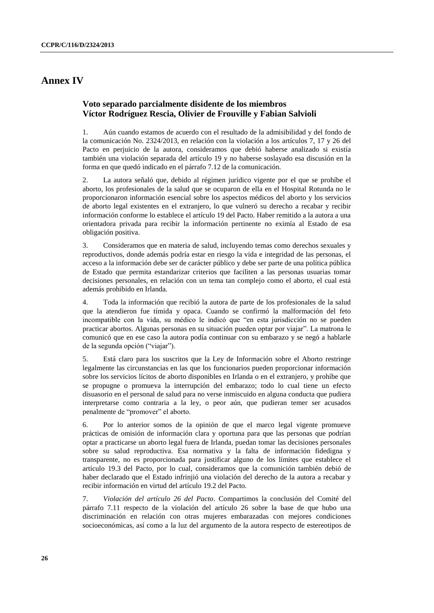### **Annex IV**

### **Voto separado parcialmente disidente de los miembros Víctor Rodríguez Rescia, Olivier de Frouville y Fabian Salvioli**

1. Aún cuando estamos de acuerdo con el resultado de la admisibilidad y del fondo de la comunicación No. 2324/2013, en relación con la violación a los artículos 7, 17 y 26 del Pacto en perjuicio de la autora, consideramos que debió haberse analizado si existía también una violación separada del artículo 19 y no haberse soslayado esa discusión en la forma en que quedó indicado en el párrafo 7.12 de la comunicación.

2. La autora señaló que, debido al régimen jurídico vigente por el que se prohíbe el aborto, los profesionales de la salud que se ocuparon de ella en el Hospital Rotunda no le proporcionaron información esencial sobre los aspectos médicos del aborto y los servicios de aborto legal existentes en el extranjero, lo que vulneró su derecho a recabar y recibir información conforme lo establece el artículo 19 del Pacto. Haber remitido a la autora a una orientadora privada para recibir la información pertinente no eximía al Estado de esa obligación positiva.

3. Consideramos que en materia de salud, incluyendo temas como derechos sexuales y reproductivos, donde además podría estar en riesgo la vida e integridad de las personas, el acceso a la información debe ser de carácter público y debe ser parte de una política pública de Estado que permita estandarizar criterios que faciliten a las personas usuarias tomar decisiones personales, en relación con un tema tan complejo como el aborto, el cual está además prohibido en Irlanda.

4. Toda la información que recibió la autora de parte de los profesionales de la salud que la atendieron fue tímida y opaca. Cuando se confirmó la malformación del feto incompatible con la vida, su médico le indicó que "en esta jurisdicción no se pueden practicar abortos. Algunas personas en su situación pueden optar por viajar". La matrona le comunicó que en ese caso la autora podía continuar con su embarazo y se negó a hablarle de la segunda opción ("viajar").

5. Está claro para los suscritos que la Ley de Información sobre el Aborto restringe legalmente las circunstancias en las que los funcionarios pueden proporcionar información sobre los servicios lícitos de aborto disponibles en Irlanda o en el extranjero, y prohíbe que se propugne o promueva la interrupción del embarazo; todo lo cual tiene un efecto disuasorio en el personal de salud para no verse inmiscuido en alguna conducta que pudiera interpretarse como contraria a la ley, o peor aún, que pudieran temer ser acusados penalmente de "promover" el aborto.

6. Por lo anterior somos de la opinión de que el marco legal vigente promueve prácticas de omisión de información clara y oportuna para que las personas que podrían optar a practicarse un aborto legal fuera de Irlanda, puedan tomar las decisiones personales sobre su salud reproductiva. Esa normativa y la falta de información fidedigna y transparente, no es proporcionada para justificar alguno de los límites que establece el artículo 19.3 del Pacto, por lo cual, consideramos que la comunición también debió de haber declarado que el Estado infrinjió una violación del derecho de la autora a recabar y recibir información en virtud del artículo 19.2 del Pacto.

7. *Violación del artículo 26 del Pacto*. Compartimos la conclusión del Comité del párrafo 7.11 respecto de la violación del artículo 26 sobre la base de que hubo una discriminación en relación con otras mujeres embarazadas con mejores condiciones socioeconómicas, así como a la luz del argumento de la autora respecto de estereotipos de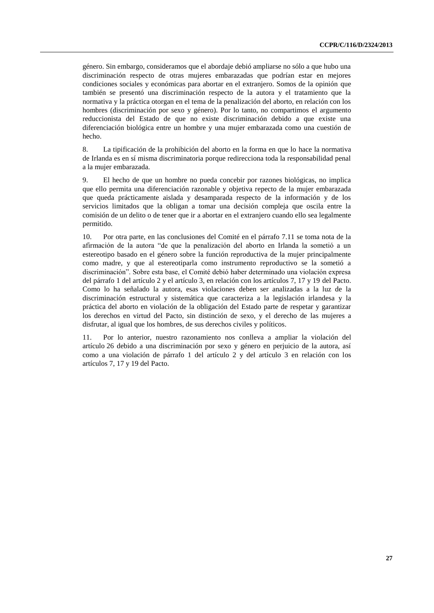género. Sin embargo, consideramos que el abordaje debió ampliarse no sólo a que hubo una discriminación respecto de otras mujeres embarazadas que podrían estar en mejores condiciones sociales y económicas para abortar en el extranjero. Somos de la opinión que también se presentó una discriminación respecto de la autora y el tratamiento que la normativa y la práctica otorgan en el tema de la penalización del aborto, en relación con los hombres (discriminación por sexo y género). Por lo tanto, no compartimos el argumento reduccionista del Estado de que no existe discriminación debido a que existe una diferenciación biológica entre un hombre y una mujer embarazada como una cuestión de hecho.

8. La tipificación de la prohibición del aborto en la forma en que lo hace la normativa de Irlanda es en sí misma discriminatoria porque redirecciona toda la responsabilidad penal a la mujer embarazada.

9. El hecho de que un hombre no pueda concebir por razones biológicas, no implica que ello permita una diferenciación razonable y objetiva repecto de la mujer embarazada que queda prácticamente aislada y desamparada respecto de la información y de los servicios limitados que la obligan a tomar una decisión compleja que oscila entre la comisión de un delito o de tener que ir a abortar en el extranjero cuando ello sea legalmente permitido.

10. Por otra parte, en las conclusiones del Comité en el párrafo 7.11 se toma nota de la afirmación de la autora "de que la penalización del aborto en Irlanda la sometió a un estereotipo basado en el género sobre la función reproductiva de la mujer principalmente como madre, y que al estereotiparla como instrumento reproductivo se la sometió a discriminación". Sobre esta base, el Comité debió haber determinado una violación expresa del párrafo 1 del artículo 2 y el artículo 3, en relación con los artículos 7, 17 y 19 del Pacto. Como lo ha señalado la autora, esas violaciones deben ser analizadas a la luz de la discriminación estructural y sistemática que caracteriza a la legislación irlandesa y la práctica del aborto en violación de la obligación del Estado parte de respetar y garantizar los derechos en virtud del Pacto, sin distinción de sexo, y el derecho de las mujeres a disfrutar, al igual que los hombres, de sus derechos civiles y políticos.

11. Por lo anterior, nuestro razonamiento nos conlleva a ampliar la violación del artículo 26 debido a una discriminación por sexo y género en perjuicio de la autora, así como a una violación de párrafo 1 del artículo 2 y del artículo 3 en relación con los artículos 7, 17 y 19 del Pacto.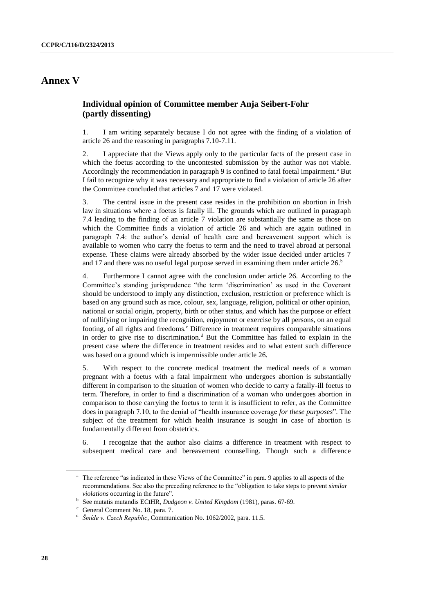## **Annex V**

### **Individual opinion of Committee member Anja Seibert-Fohr (partly dissenting)**

1. I am writing separately because I do not agree with the finding of a violation of article 26 and the reasoning in paragraphs 7.10-7.11.

2. I appreciate that the Views apply only to the particular facts of the present case in which the foetus according to the uncontested submission by the author was not viable. Accordingly the recommendation in paragraph  $9$  is confined to fatal foetal impairment.<sup>a</sup> But I fail to recognize why it was necessary and appropriate to find a violation of article 26 after the Committee concluded that articles 7 and 17 were violated.

3. The central issue in the present case resides in the prohibition on abortion in Irish law in situations where a foetus is fatally ill. The grounds which are outlined in paragraph 7.4 leading to the finding of an article 7 violation are substantially the same as those on which the Committee finds a violation of article 26 and which are again outlined in paragraph 7.4: the author's denial of health care and bereavement support which is available to women who carry the foetus to term and the need to travel abroad at personal expense. These claims were already absorbed by the wider issue decided under articles 7 and 17 and there was no useful legal purpose served in examining them under article  $26.^b$ 

4. Furthermore I cannot agree with the conclusion under article 26. According to the Committee's standing jurisprudence "the term 'discrimination' as used in the Covenant should be understood to imply any distinction, exclusion, restriction or preference which is based on any ground such as race, colour, sex, language, religion, political or other opinion, national or social origin, property, birth or other status, and which has the purpose or effect of nullifying or impairing the recognition, enjoyment or exercise by all persons, on an equal footing, of all rights and freedoms.<sup>c</sup> Difference in treatment requires comparable situations in order to give rise to discrimination.<sup>d</sup> But the Committee has failed to explain in the present case where the difference in treatment resides and to what extent such difference was based on a ground which is impermissible under article 26.

5. With respect to the concrete medical treatment the medical needs of a woman pregnant with a foetus with a fatal impairment who undergoes abortion is substantially different in comparison to the situation of women who decide to carry a fatally-ill foetus to term. Therefore, in order to find a discrimination of a woman who undergoes abortion in comparison to those carrying the foetus to term it is insufficient to refer, as the Committee does in paragraph 7.10, to the denial of "health insurance coverage *for these purposes*". The subject of the treatment for which health insurance is sought in case of abortion is fundamentally different from obstetrics.

6. I recognize that the author also claims a difference in treatment with respect to subsequent medical care and bereavement counselling. Though such a difference

<sup>&</sup>lt;sup>a</sup> The reference "as indicated in these Views of the Committee" in para. 9 applies to all aspects of the recommendations. See also the preceding reference to the "obligation to take steps to prevent *similar violations* occurring in the future".

b See mutatis mutandis ECtHR, *Dudgeon v. United Kingdom* (1981), paras. 67-69.

<sup>c</sup> General Comment No. 18, para. 7.

<sup>&</sup>lt;sup>d</sup> *Šmíde v. Czech Republic*, Communication No. 1062/2002, para. 11.5.